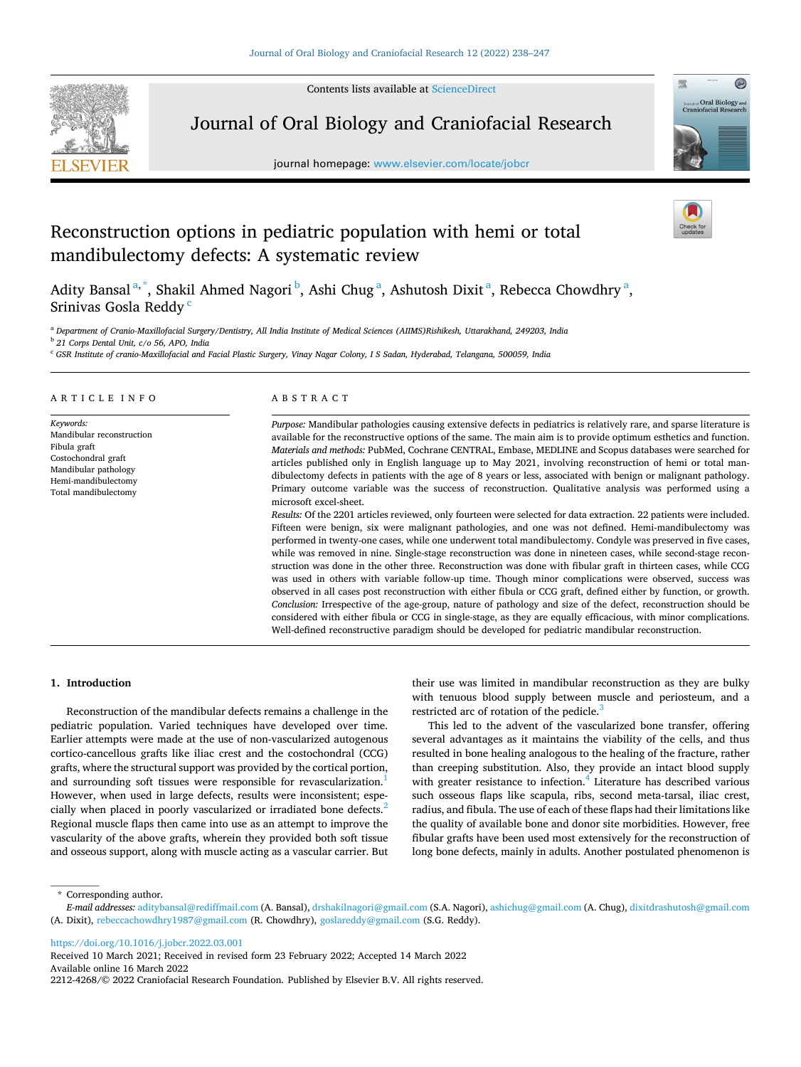Contents lists available at [ScienceDirect](www.sciencedirect.com/science/journal/22124268)



Journal of Oral Biology and Craniofacial Research

journal homepage: [www.elsevier.com/locate/jobcr](https://www.elsevier.com/locate/jobcr) 



# Reconstruction options in pediatric population with hemi or total mandibulectomy defects: A systematic review

Adity Bansal<sup>a,\*</sup>, Shakil Ahmed Nagori <sup>b</sup>, Ashi Chug<sup>a</sup>, Ashutosh Dixit<sup>a</sup>, Rebecca Chowdhry<sup>a</sup>, Srinivas Gosla Reddy<sup>c</sup>

<sup>a</sup> *Department of Cranio-Maxillofacial Surgery/Dentistry, All India Institute of Medical Sciences (AIIMS)Rishikesh, Uttarakhand, 249203, India* 

<sup>b</sup> *21 Corps Dental Unit, c/o 56, APO, India* 

<sup>c</sup> *GSR Institute of cranio-Maxillofacial and Facial Plastic Surgery, Vinay Nagar Colony, I S Sadan, Hyderabad, Telangana, 500059, India* 

## ARTICLE INFO

*Keywords:*  Mandibular reconstruction Fibula graft Costochondral graft Mandibular pathology Hemi-mandibulectomy Total mandibulectomy

# ABSTRACT

*Purpose:* Mandibular pathologies causing extensive defects in pediatrics is relatively rare, and sparse literature is available for the reconstructive options of the same. The main aim is to provide optimum esthetics and function. *Materials and methods:* PubMed, Cochrane CENTRAL, Embase, MEDLINE and Scopus databases were searched for articles published only in English language up to May 2021, involving reconstruction of hemi or total mandibulectomy defects in patients with the age of 8 years or less, associated with benign or malignant pathology. Primary outcome variable was the success of reconstruction. Qualitative analysis was performed using a microsoft excel-sheet.

*Results:* Of the 2201 articles reviewed, only fourteen were selected for data extraction. 22 patients were included. Fifteen were benign, six were malignant pathologies, and one was not defined. Hemi-mandibulectomy was performed in twenty-one cases, while one underwent total mandibulectomy. Condyle was preserved in five cases, while was removed in nine. Single-stage reconstruction was done in nineteen cases, while second-stage reconstruction was done in the other three. Reconstruction was done with fibular graft in thirteen cases, while CCG was used in others with variable follow-up time. Though minor complications were observed, success was observed in all cases post reconstruction with either fibula or CCG graft, defined either by function, or growth. *Conclusion:* Irrespective of the age-group, nature of pathology and size of the defect, reconstruction should be considered with either fibula or CCG in single-stage, as they are equally efficacious, with minor complications. Well-defined reconstructive paradigm should be developed for pediatric mandibular reconstruction.

## **1. Introduction**

Reconstruction of the mandibular defects remains a challenge in the pediatric population. Varied techniques have developed over time. Earlier attempts were made at the use of non-vascularized autogenous cortico-cancellous grafts like iliac crest and the costochondral (CCG) grafts, where the structural support was provided by the cortical portion, and surrounding soft tissues were responsible for revascularization.<sup>1</sup> However, when used in large defects, results were inconsistent; especially when placed in poorly vascularized or irradiated bone defects.<sup>2</sup> Regional muscle flaps then came into use as an attempt to improve the vascularity of the above grafts, wherein they provided both soft tissue and osseous support, along with muscle acting as a vascular carrier. But their use was limited in mandibular reconstruction as they are bulky with tenuous blood supply between muscle and periosteum, and a restricted arc of rotation of the pedicle. $\frac{3}{2}$  $\frac{3}{2}$  $\frac{3}{2}$ 

This led to the advent of the vascularized bone transfer, offering several advantages as it maintains the viability of the cells, and thus resulted in bone healing analogous to the healing of the fracture, rather than creeping substitution. Also, they provide an intact blood supply with greater resistance to infection.<sup>4</sup> Literature has described various such osseous flaps like scapula, ribs, second meta-tarsal, iliac crest, radius, and fibula. The use of each of these flaps had their limitations like the quality of available bone and donor site morbidities. However, free fibular grafts have been used most extensively for the reconstruction of long bone defects, mainly in adults. Another postulated phenomenon is

\* Corresponding author.

<https://doi.org/10.1016/j.jobcr.2022.03.001>

Available online 16 March 2022 2212-4268/© 2022 Craniofacial Research Foundation. Published by Elsevier B.V. All rights reserved. Received 10 March 2021; Received in revised form 23 February 2022; Accepted 14 March 2022

*E-mail addresses:* [aditybansal@rediffmail.com](mailto:aditybansal@rediffmail.com) (A. Bansal), [drshakilnagori@gmail.com](mailto:drshakilnagori@gmail.com) (S.A. Nagori), [ashichug@gmail.com](mailto:ashichug@gmail.com) (A. Chug), [dixitdrashutosh@gmail.com](mailto:dixitdrashutosh@gmail.com)  (A. Dixit), [rebeccachowdhry1987@gmail.com](mailto:rebeccachowdhry1987@gmail.com) (R. Chowdhry), [goslareddy@gmail.com](mailto:goslareddy@gmail.com) (S.G. Reddy).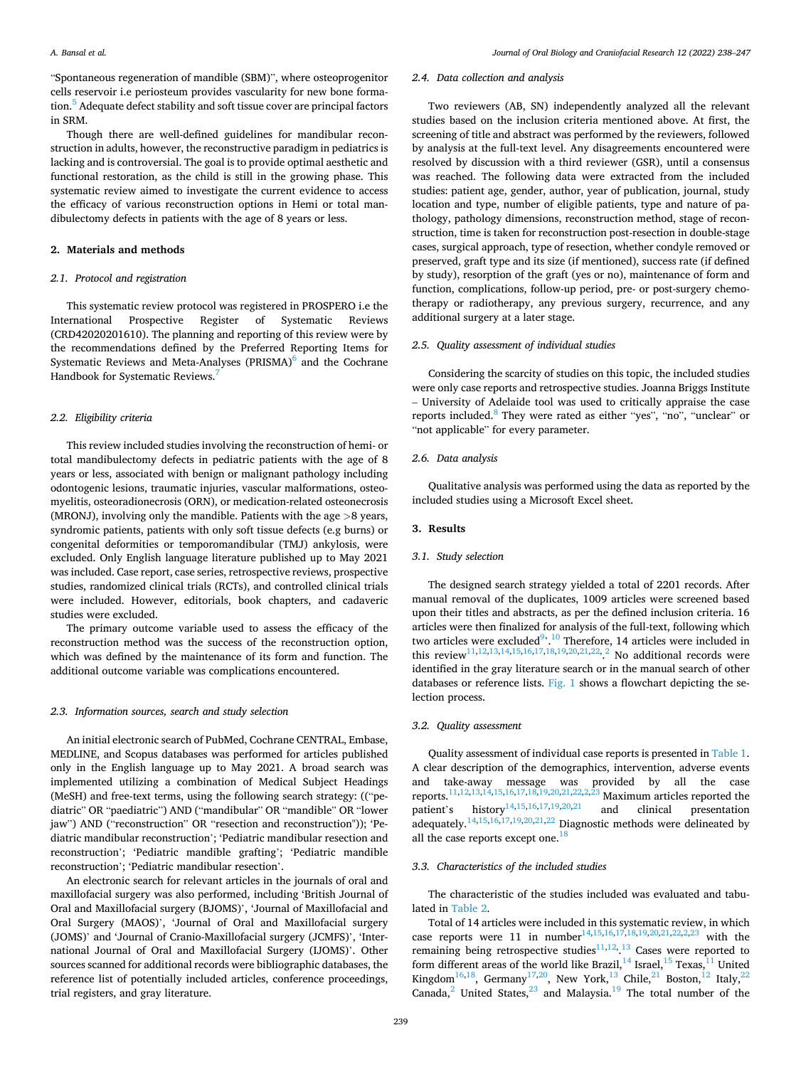"Spontaneous regeneration of mandible (SBM)", where osteoprogenitor cells reservoir i.e periosteum provides vascularity for new bone formation.<sup>5</sup> Adequate defect stability and soft tissue cover are principal factors in SRM.

Though there are well-defined guidelines for mandibular reconstruction in adults, however, the reconstructive paradigm in pediatrics is lacking and is controversial. The goal is to provide optimal aesthetic and functional restoration, as the child is still in the growing phase. This systematic review aimed to investigate the current evidence to access the efficacy of various reconstruction options in Hemi or total mandibulectomy defects in patients with the age of 8 years or less.

# **2. Materials and methods**

## *2.1. Protocol and registration*

This systematic review protocol was registered in PROSPERO i.e the International Prospective Register of Systematic Reviews (CRD42020201610). The planning and reporting of this review were by the recommendations defined by the Preferred Reporting Items for Systematic Reviews and Meta-Analyses (PRISMA) $<sup>6</sup>$  and the Cochrane</sup> Handbook for Systematic Reviews[.7](#page-9-0) 

#### *2.2. Eligibility criteria*

This review included studies involving the reconstruction of hemi- or total mandibulectomy defects in pediatric patients with the age of 8 years or less, associated with benign or malignant pathology including odontogenic lesions, traumatic injuries, vascular malformations, osteomyelitis, osteoradionecrosis (ORN), or medication-related osteonecrosis (MRONJ), involving only the mandible. Patients with the age *>*8 years, syndromic patients, patients with only soft tissue defects (e.g burns) or congenital deformities or temporomandibular (TMJ) ankylosis, were excluded. Only English language literature published up to May 2021 was included. Case report, case series, retrospective reviews, prospective studies, randomized clinical trials (RCTs), and controlled clinical trials were included. However, editorials, book chapters, and cadaveric studies were excluded.

The primary outcome variable used to assess the efficacy of the reconstruction method was the success of the reconstruction option, which was defined by the maintenance of its form and function. The additional outcome variable was complications encountered.

## *2.3. Information sources, search and study selection*

An initial electronic search of PubMed, Cochrane CENTRAL, Embase, MEDLINE, and Scopus databases was performed for articles published only in the English language up to May 2021. A broad search was implemented utilizing a combination of Medical Subject Headings (MeSH) and free-text terms, using the following search strategy: (("pediatric" OR "paediatric") AND ("mandibular" OR "mandible" OR "lower jaw") AND ("reconstruction" OR "resection and reconstruction")); 'Pediatric mandibular reconstruction'; 'Pediatric mandibular resection and reconstruction'; 'Pediatric mandible grafting'; 'Pediatric mandible reconstruction'; 'Pediatric mandibular resection'.

An electronic search for relevant articles in the journals of oral and maxillofacial surgery was also performed, including 'British Journal of Oral and Maxillofacial surgery (BJOMS)', 'Journal of Maxillofacial and Oral Surgery (MAOS)', 'Journal of Oral and Maxillofacial surgery (JOMS)' and 'Journal of Cranio-Maxillofacial surgery (JCMFS)', 'International Journal of Oral and Maxillofacial Surgery (IJOMS)'. Other sources scanned for additional records were bibliographic databases, the reference list of potentially included articles, conference proceedings, trial registers, and gray literature.

### *2.4. Data collection and analysis*

Two reviewers (AB, SN) independently analyzed all the relevant studies based on the inclusion criteria mentioned above. At first, the screening of title and abstract was performed by the reviewers, followed by analysis at the full-text level. Any disagreements encountered were resolved by discussion with a third reviewer (GSR), until a consensus was reached. The following data were extracted from the included studies: patient age, gender, author, year of publication, journal, study location and type, number of eligible patients, type and nature of pathology, pathology dimensions, reconstruction method, stage of reconstruction, time is taken for reconstruction post-resection in double-stage cases, surgical approach, type of resection, whether condyle removed or preserved, graft type and its size (if mentioned), success rate (if defined by study), resorption of the graft (yes or no), maintenance of form and function, complications, follow-up period, pre- or post-surgery chemotherapy or radiotherapy, any previous surgery, recurrence, and any additional surgery at a later stage.

# *2.5. Quality assessment of individual studies*

Considering the scarcity of studies on this topic, the included studies were only case reports and retrospective studies. Joanna Briggs Institute – University of Adelaide tool was used to critically appraise the case reports included[.8 They were rated as either](#page-9-0) "yes", "no", "unclear" or "not applicable" for every parameter.

#### *2.6. Data analysis*

Qualitative analysis was performed using the data as reported by the included studies using a Microsoft Excel sheet.

# **3. Results**

#### *3.1. Study selection*

The designed search strategy yielded a total of 2201 records. After manual removal of the duplicates, 1009 articles were screened based upon their titles and abstracts, as per the defined inclusion criteria. 16 articles were then finalized for analysis of the full-text, following which two articles were excluded<sup>[9](#page-9-0), 10</sup> Therefore, 14 articles were included in this review<sup>[11,12,13,14,15,16,17,18,19,20,21,22,](#page-9-0) 2</sup> No additional records were identified in the gray literature search or in the manual search of other databases or reference lists. [Fig. 1](#page-2-0) shows a flowchart depicting the selection process.

## *3.2. Quality assessment*

Quality assessment of individual case reports is presented in [Table 1](#page-3-0). A clear description of the demographics, intervention, adverse events and take-away message was provided by all the case reports.<sup>11,12,13,14,15,16,17,18,19,20,21,22,2,23</sup> Maximum articles reported the patient's history<sup>14,15,16,17,19,20,21</sup> and clinical presentation adequately.[14,15,16,17,19,20,21,22 Diagnostic methods were delineated by](#page-9-0)  all the case reports except one.<sup>18</sup>

#### *3.3. Characteristics of the included studies*

The characteristic of the studies included was evaluated and tabulated in [Table 2](#page-4-0).

Total of 14 articles were included in this systematic review, in which case reports were 11 in number<sup>14,15,16,17,18,19,20,21,22,2,23</sup> with the remaining being retrospective studies $11,12,13$  $11,12,13$  Cases were reported to form different areas of the world like Brazil, $^{14}$  Israel, $^{15}$  Texas, $^{11}$  United Kingdom<sup>16,18</sup>, Germany<sup>17,20</sup>, New York,<sup>13</sup> Chile,<sup>21</sup> Boston,<sup>12</sup> Italy,<sup>22</sup> Canada, $^2$  United States, $^{23}$  and Malaysia.<sup>19</sup> The total number of the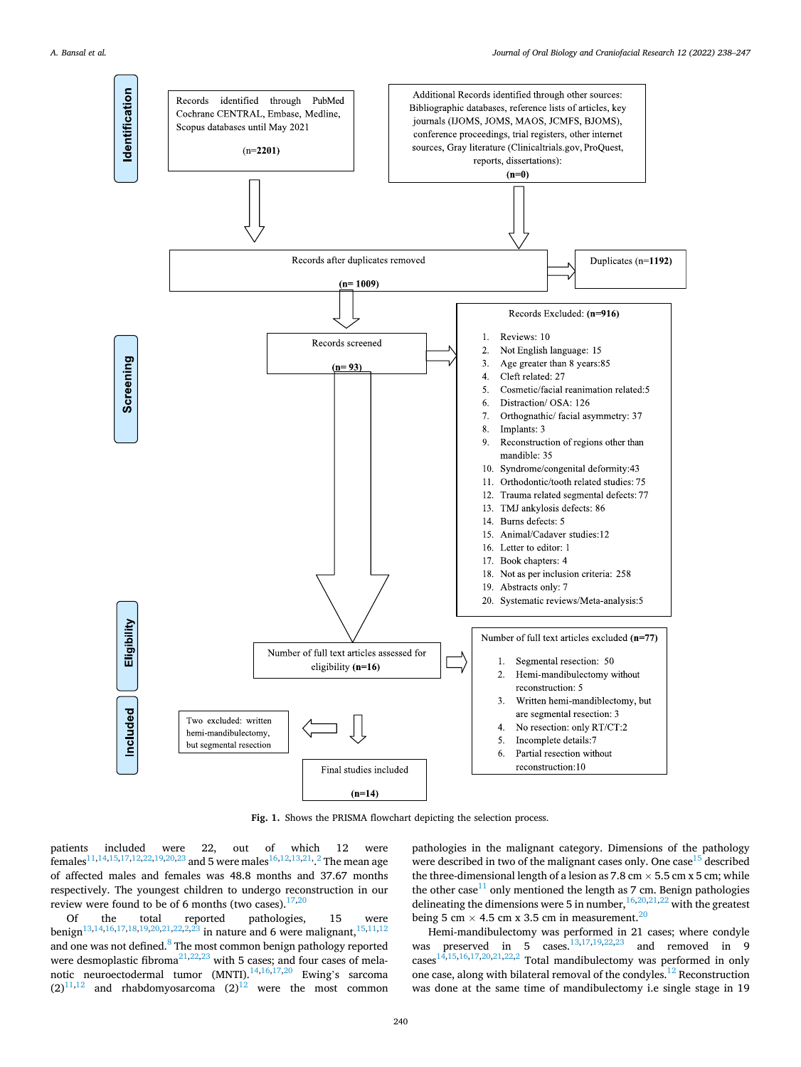<span id="page-2-0"></span>

**Fig. 1.** Shows the PRISMA flowchart depicting the selection process.

patients included were 22, out of which 12 were females<sup>11,14,15,17,12,22,19,20,23</sup> and 5 were males<sup>16,12,13,21, 2</sup> The mean age of affected males and females was 48.8 months and 37.67 months respectively. The youngest children to undergo reconstruction in our review were found to be of 6 months (two cases). $17,20$ 

Of the total reported pathologies, 15 were benign<sup>13,14,16,17,18,19,20,21,22,2,23</sup> in nature and 6 were malignant,  $15,11,12$ and one was not defined.<sup>8</sup> The most common benign pathology reported were desmoplastic fibroma $^{21,22,23}$  with 5 cases; and four cases of mela-notic neuroectodermal tumor (MNTI).<sup>[14,16,17,2](#page-9-0)0</sup> Ewing's sarcoma  $(2)^{11,12}$  and rhabdomyosarcoma  $(2)^{12}$  were the most common

pathologies in the malignant category. Dimensions of the pathology were described in two of the malignant cases only. One case  $15$  described the three-dimensional length of a lesion as  $7.8 \text{ cm} \times 5.5 \text{ cm} \times 5 \text{ cm}$ ; while the other case<sup>11</sup> only mentioned the length as 7 cm. Benign pathologies delineating the dimensions were 5 in number,  $16,20,21,22$  with the greatest being 5 cm  $\times$  4.5 cm x 3.5 cm in measurement.<sup>20</sup>

Hemi-mandibulectomy was performed in 21 cases; where condyle was preserved in 5 cases.<sup>13,17,19,22,23</sup> and removed in 9 cases<sup>14,15,16,17,20,21,22,2</sup> Total mandibulectomy was performed in only one case, along with bilateral removal of the condyles[.12 Reconstruction](#page-9-0)  was done at the same time of mandibulectomy i.e single stage in 19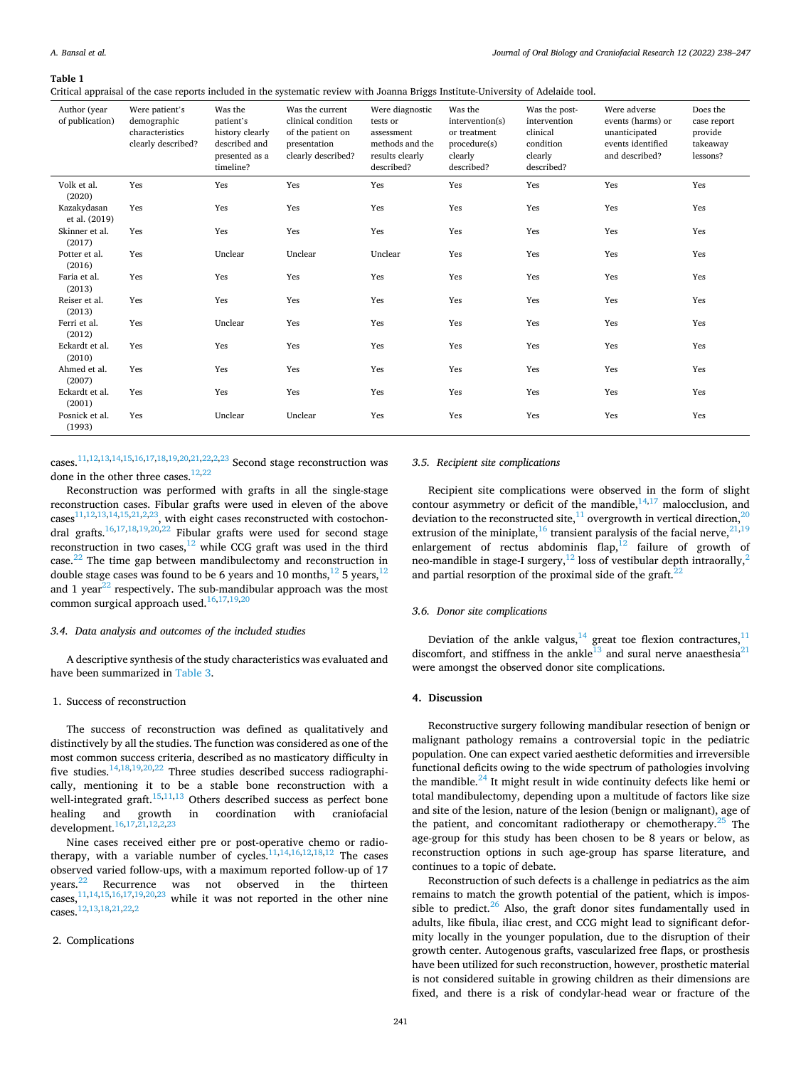<span id="page-3-0"></span>**Table 1** 

Critical appraisal of the case reports included in the systematic review with Joanna Briggs Institute-University of Adelaide tool.

| Author (year<br>of publication) | Were patient's<br>demographic<br>characteristics<br>clearly described? | Was the<br>patient's<br>history clearly<br>described and<br>presented as a<br>timeline? | Was the current<br>clinical condition<br>of the patient on<br>presentation<br>clearly described? | Were diagnostic<br>tests or<br>assessment<br>methods and the<br>results clearly<br>described? | Was the<br>intervention(s)<br>or treatment<br>procedure(s)<br>clearly<br>described? | Was the post-<br>intervention<br>clinical<br>condition<br>clearly<br>described? | Were adverse<br>events (harms) or<br>unanticipated<br>events identified<br>and described? | Does the<br>case report<br>provide<br>takeaway<br>lessons? |
|---------------------------------|------------------------------------------------------------------------|-----------------------------------------------------------------------------------------|--------------------------------------------------------------------------------------------------|-----------------------------------------------------------------------------------------------|-------------------------------------------------------------------------------------|---------------------------------------------------------------------------------|-------------------------------------------------------------------------------------------|------------------------------------------------------------|
| Volk et al.<br>(2020)           | Yes                                                                    | Yes                                                                                     | Yes                                                                                              | Yes                                                                                           | Yes                                                                                 | Yes                                                                             | Yes                                                                                       | Yes                                                        |
| Kazakydasan<br>et al. (2019)    | Yes                                                                    | Yes                                                                                     | Yes                                                                                              | Yes                                                                                           | Yes                                                                                 | Yes                                                                             | Yes                                                                                       | Yes                                                        |
| Skinner et al.<br>(2017)        | Yes                                                                    | Yes                                                                                     | Yes                                                                                              | Yes                                                                                           | Yes                                                                                 | Yes                                                                             | Yes                                                                                       | Yes                                                        |
| Potter et al.<br>(2016)         | Yes                                                                    | Unclear                                                                                 | Unclear                                                                                          | Unclear                                                                                       | Yes                                                                                 | Yes                                                                             | Yes                                                                                       | Yes                                                        |
| Faria et al.<br>(2013)          | Yes                                                                    | Yes                                                                                     | Yes                                                                                              | Yes                                                                                           | Yes                                                                                 | Yes                                                                             | Yes                                                                                       | Yes                                                        |
| Reiser et al.<br>(2013)         | Yes                                                                    | Yes                                                                                     | Yes                                                                                              | Yes                                                                                           | Yes                                                                                 | Yes                                                                             | Yes                                                                                       | Yes                                                        |
| Ferri et al.<br>(2012)          | Yes                                                                    | Unclear                                                                                 | Yes                                                                                              | Yes                                                                                           | Yes                                                                                 | Yes                                                                             | Yes                                                                                       | Yes                                                        |
| Eckardt et al.<br>(2010)        | Yes                                                                    | Yes                                                                                     | Yes                                                                                              | Yes                                                                                           | Yes                                                                                 | Yes                                                                             | Yes                                                                                       | Yes                                                        |
| Ahmed et al.<br>(2007)          | Yes                                                                    | Yes                                                                                     | Yes                                                                                              | Yes                                                                                           | Yes                                                                                 | Yes                                                                             | Yes                                                                                       | Yes                                                        |
| Eckardt et al.<br>(2001)        | Yes                                                                    | Yes                                                                                     | Yes                                                                                              | Yes                                                                                           | Yes                                                                                 | Yes                                                                             | Yes                                                                                       | Yes                                                        |
| Posnick et al.<br>(1993)        | Yes                                                                    | Unclear                                                                                 | Unclear                                                                                          | Yes                                                                                           | Yes                                                                                 | Yes                                                                             | Yes                                                                                       | Yes                                                        |

cases.[11,12,13,14,15,16,17,18,19,20,21,22,2,23 Second stage reconstruction was](#page-9-0)  done in the other three cases. $12,22$ 

Reconstruction was performed with grafts in all the single-stage reconstruction cases. Fibular grafts were used in eleven of the above cases<sup>11,12,13,14,15,21,2,23</sup>, with eight cases reconstructed with costochondral grafts.<sup>16,17,18,19,20,22</sup> Fibular grafts were used for second stage reconstruction in two cases, $12$  while CCG graft was used in the third case.[22 The time gap between mandibulectomy and reconstruction in](#page-9-0)  double stage cases was found to be 6 years and 10 months,  $^{12}$  5 years,  $^{12}$ and 1 year $^{22}$  respectively. The sub-mandibular approach was the most common surgical approach used.<sup>16,17,19,20</sup>

#### *3.4. Data analysis and outcomes of the included studies*

A descriptive synthesis of the study characteristics was evaluated and have been summarized in [Table 3.](#page-6-0)

# 1. Success of reconstruction

The success of reconstruction was defined as qualitatively and distinctively by all the studies. The function was considered as one of the most common success criteria, described as no masticatory difficulty in five studies.<sup>14,18,19,20,22</sup> Three studies described success radiographically, mentioning it to be a stable bone reconstruction with a well-integrated graft.<sup>15,11,13</sup> Others described success as perfect bone healing and growth in coordination with craniofacial development.<sup>16,17,21,12,2,23</sup>

Nine cases received either pre or post-operative chemo or radiotherapy, with a variable number of cycles. $11,14,16,12,18,12$  The cases observed varied follow-ups, with a maximum reported follow-up of 17 years.[22 Recurrence was not observed in the thirteen](#page-9-0)  cases, $\frac{11,14,15,16,17,19,20,23}{1}$  while it was not reported in the other nine cases.[12,13,18,21,22,2](#page-9-0)

## 2. Complications

# *3.5. Recipient site complications*

Recipient site complications were observed in the form of slight contour asymmetry or deficit of the mandible,  $14,17$  malocclusion, and deviation to the reconstructed site,  $11$  overgrowth in vertical direction,  $20$ extrusion of the miniplate, $16$  transient paralysis of the facial nerve, $21,19$ enlargement of rectus abdominis  $f$ lap, $^{12}$  failure of growth of neo-mandible in stage-I surgery,<sup>12</sup> loss of vestibular depth intraorally,<sup>2</sup> and partial resorption of the proximal side of the graft. $^{22}$ 

## *3.6. Donor site complications*

Deviation of the ankle valgus, $14$  great toe flexion contractures, $11$ discomfort, and stiffness in the ankle<sup>13</sup> and sural nerve anaesthesia<sup>21</sup> were amongst the observed donor site complications.

# **4. Discussion**

Reconstructive surgery following mandibular resection of benign or malignant pathology remains a controversial topic in the pediatric population. One can expect varied aesthetic deformities and irreversible functional deficits owing to the wide spectrum of pathologies involving the mandible. $^{24}$  It might result in wide continuity defects like hemi or total mandibulectomy, depending upon a multitude of factors like size and site of the lesion, nature of the lesion (benign or malignant), age of the patient, and concomitant radiotherapy or chemotherapy. $25$  The age-group for this study has been chosen to be 8 years or below, as reconstruction options in such age-group has sparse literature, and continues to a topic of debate.

Reconstruction of such defects is a challenge in pediatrics as the aim remains to match the growth potential of the patient, which is impossible to predict. $26$  Also, the graft donor sites fundamentally used in adults, like fibula, iliac crest, and CCG might lead to significant deformity locally in the younger population, due to the disruption of their growth center. Autogenous grafts, vascularized free flaps, or prosthesis have been utilized for such reconstruction, however, prosthetic material is not considered suitable in growing children as their dimensions are fixed, and there is a risk of condylar-head wear or fracture of the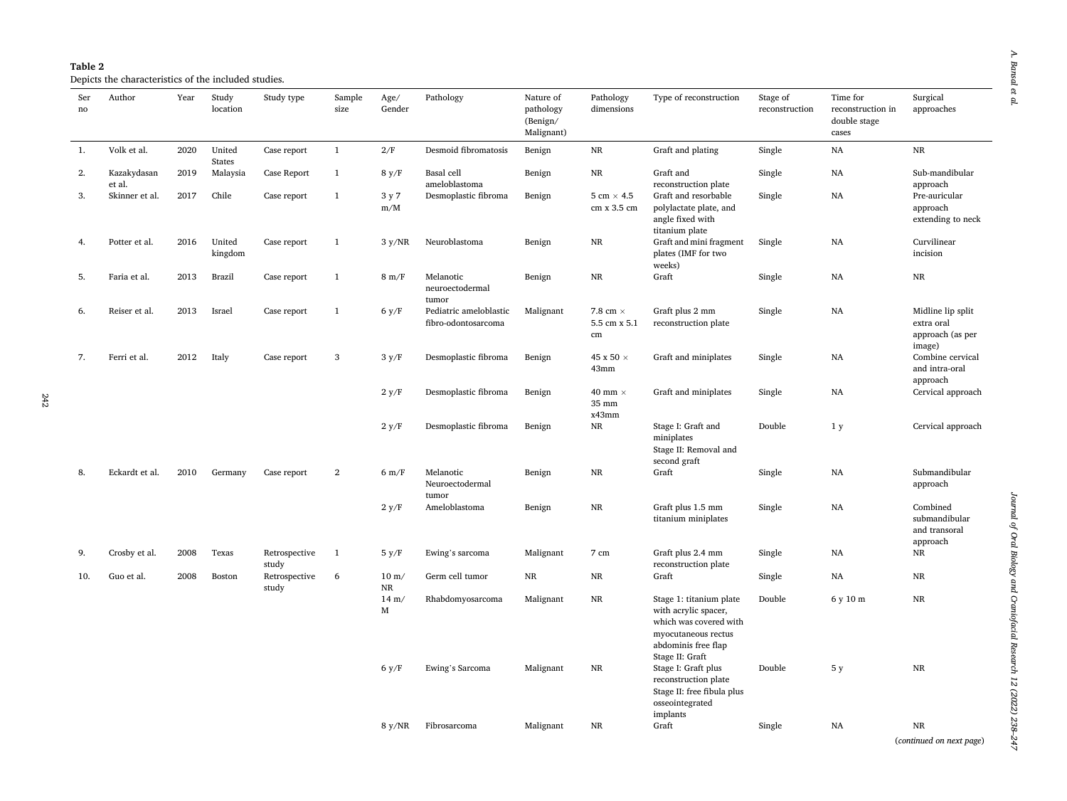| ction | Stage of<br>reconstruction | Time for<br>reconstruction<br>double stage<br>cases |
|-------|----------------------------|-----------------------------------------------------|
|       | Single                     | NA                                                  |
| afe.  | Single                     | NA                                                  |

 $\boldsymbol{A}.$  Bansal et al. *A. Bansal et al.* 

<span id="page-4-0"></span>

| Ser<br>no | Author                | Year | Study<br>location       | Study type             | Sample<br>size | Age/<br>Gender               | Pathology                                     | Nature of<br>pathology<br>(Benign/<br>Malignant) | Pathology<br>dimensions                  | Type of reconstruction                                                                                                                     | Stage of<br>reconstruction | Time for<br>reconstruction in<br>double stage<br>cases | Surgical<br>approaches                                        |
|-----------|-----------------------|------|-------------------------|------------------------|----------------|------------------------------|-----------------------------------------------|--------------------------------------------------|------------------------------------------|--------------------------------------------------------------------------------------------------------------------------------------------|----------------------------|--------------------------------------------------------|---------------------------------------------------------------|
| 1.        | Volk et al.           | 2020 | United<br><b>States</b> | Case report            | $\mathbf{1}$   | 2/F                          | Desmoid fibromatosis                          | Benign                                           | $_{\rm NR}$                              | Graft and plating                                                                                                                          | Single                     | NA                                                     | $\rm NR$                                                      |
| 2.        | Kazakydasan<br>et al. | 2019 | Malaysia                | Case Report            | $\mathbf{1}$   | 8 y/F                        | Basal cell<br>ameloblastoma                   | Benign                                           | NR                                       | Graft and<br>reconstruction plate                                                                                                          | Single                     | NA                                                     | Sub-mandibular<br>approach                                    |
| 3.        | Skinner et al.        | 2017 | Chile                   | Case report            | $\mathbf{1}$   | 3 y 7<br>$\text{m}/\text{M}$ | Desmoplastic fibroma                          | Benign                                           | $5 \text{ cm} \times 4.5$<br>cm x 3.5 cm | Graft and resorbable<br>polylactate plate, and<br>angle fixed with<br>titanium plate                                                       | Single                     | NA                                                     | Pre-auricular<br>approach<br>extending to neck                |
| 4.        | Potter et al.         | 2016 | United<br>kingdom       | Case report            | $\mathbf{1}$   | 3 y/NR                       | Neuroblastoma                                 | Benign                                           | $\rm NR$                                 | Graft and mini fragment<br>plates (IMF for two<br>weeks)                                                                                   | Single                     | NA                                                     | Curvilinear<br>incision                                       |
| 5.        | Faria et al.          | 2013 | Brazil                  | Case report            | $\mathbf{1}$   | $8 \text{ m/F}$              | Melanotic<br>neuroectodermal<br>tumor         | Benign                                           | $_{\rm NR}$                              | Graft                                                                                                                                      | Single                     | NA                                                     | NR                                                            |
| 6.        | Reiser et al.         | 2013 | Israel                  | Case report            | $\mathbf{1}$   | 6 y/F                        | Pediatric ameloblastic<br>fibro-odontosarcoma | Malignant                                        | 7.8 cm $\times$<br>5.5 cm x 5.1<br>cm    | Graft plus 2 mm<br>reconstruction plate                                                                                                    | Single                     | NA                                                     | Midline lip split<br>extra oral<br>approach (as per<br>image) |
| 7.        | Ferri et al.          | 2012 | Italy                   | Case report            | 3              | 3 y/F                        | Desmoplastic fibroma                          | Benign                                           | 45 x 50 $\times$<br>43mm                 | Graft and miniplates                                                                                                                       | Single                     | NA                                                     | Combine cervical<br>and intra-oral<br>approach                |
|           |                       |      |                         |                        |                | 2 y/F                        | Desmoplastic fibroma                          | Benign                                           | 40 mm $\times$<br>35 mm<br>x43mm         | Graft and miniplates                                                                                                                       | Single                     | NA                                                     | Cervical approach                                             |
|           |                       |      |                         |                        |                | 2 y/F                        | Desmoplastic fibroma                          | Benign                                           | $_{\rm NR}$                              | Stage I: Graft and<br>miniplates<br>Stage II: Removal and<br>second graft                                                                  | Double                     | 1 <sub>y</sub>                                         | Cervical approach                                             |
| 8.        | Eckardt et al.        | 2010 | Germany                 | Case report            | $\overline{2}$ | $6 \text{ m/F}$              | Melanotic<br>Neuroectodermal<br>tumor         | Benign                                           | <b>NR</b>                                | Graft                                                                                                                                      | Single                     | NA                                                     | Submandibular<br>approach                                     |
|           |                       |      |                         |                        |                | 2 y/F                        | Ameloblastoma                                 | Benign                                           | NR                                       | Graft plus 1.5 mm<br>titanium miniplates                                                                                                   | Single                     | NA                                                     | Combined<br>submandibular<br>and transoral<br>approach        |
| 9.        | Crosby et al.         | 2008 | Texas                   | Retrospective<br>study | $\mathbf{1}$   | 5 y/F                        | Ewing's sarcoma                               | Malignant                                        | 7 cm                                     | Graft plus 2.4 mm<br>reconstruction plate                                                                                                  | Single                     | NA                                                     | NR                                                            |
| 10.       | Guo et al.            | 2008 | Boston                  | Retrospective<br>study | 6              | $10 \text{ m}$<br>NR         | Germ cell tumor                               | $\rm NR$                                         | NR                                       | Graft                                                                                                                                      | Single                     | NA                                                     | NR                                                            |
|           |                       |      |                         |                        |                | $14 \text{ m}$ /<br>M        | Rhabdomyosarcoma                              | Malignant                                        | $_{\rm NR}$                              | Stage 1: titanium plate<br>with acrylic spacer,<br>which was covered with<br>myocutaneous rectus<br>abdominis free flap<br>Stage II: Graft | Double                     | 6 y 10 m                                               | NR                                                            |
|           |                       |      |                         |                        |                | 6 y/F                        | Ewing's Sarcoma                               | Malignant                                        | NR                                       | Stage I: Graft plus<br>reconstruction plate<br>Stage II: free fibula plus<br>osseointegrated<br>implants                                   | Double                     | 5 y                                                    | $\rm NR$                                                      |
|           |                       |      |                         |                        |                | $8 \text{ y/NR}$             | Fibrosarcoma                                  | Malignant                                        | NR                                       | Graft                                                                                                                                      | Single                     | <b>NA</b>                                              | <b>NR</b><br>(continued on next page)                         |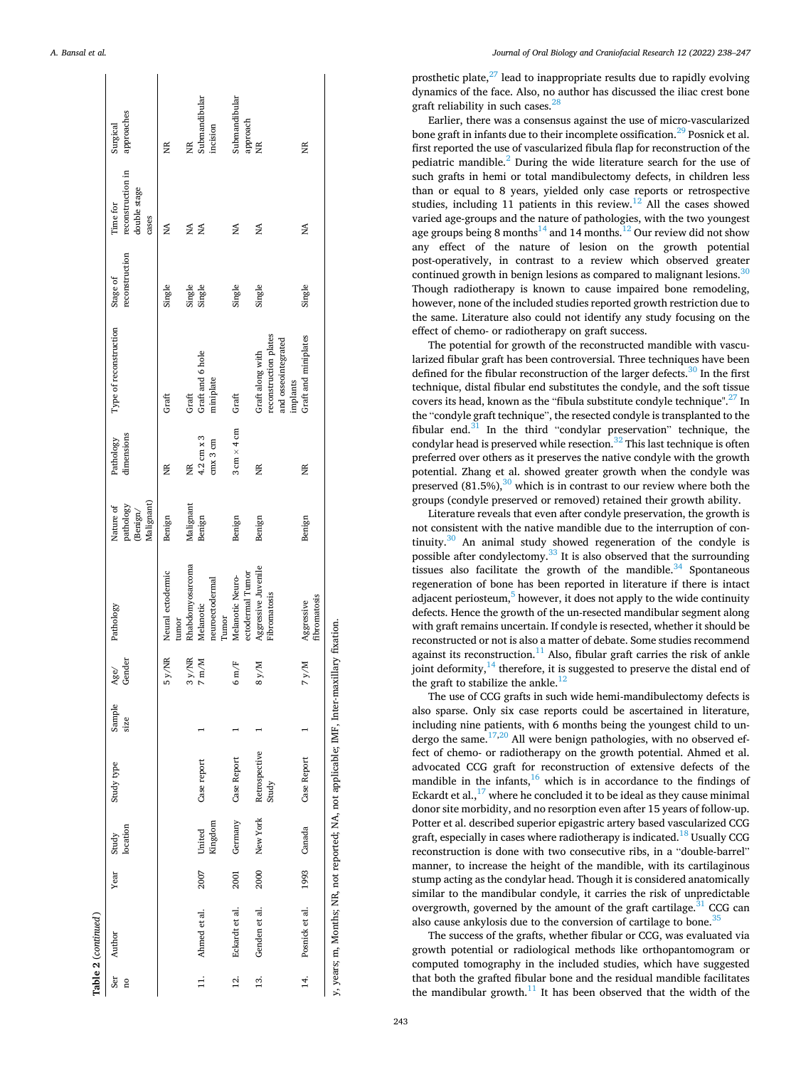|                   | Table 2 (continued) |      |                   |                                                                                           |                |                                           |                                      |                                                          |                                    |                                                          |                            |                                                        |                           |
|-------------------|---------------------|------|-------------------|-------------------------------------------------------------------------------------------|----------------|-------------------------------------------|--------------------------------------|----------------------------------------------------------|------------------------------------|----------------------------------------------------------|----------------------------|--------------------------------------------------------|---------------------------|
| Ser<br>ă          | Author              | Year | location<br>Study | Study type                                                                                | Sample<br>size | Gender<br>Age/                            | Pathology                            | Malignant)<br>pathology<br>Nature of<br>$\mbox{Benign}/$ | dimensions<br>Pathology            | Type of reconstruction                                   | reconstruction<br>Stage of | reconstruction in<br>double stage<br>Time for<br>cases | approaches<br>Surgical    |
|                   |                     |      |                   |                                                                                           |                | 5 y/NR                                    | Neural ectodermic<br>tumor           | Benign                                                   | Ĕ                                  | Graft                                                    | Single                     | ≸                                                      | Ĕ                         |
|                   |                     |      |                   |                                                                                           |                | <b>iy/NR</b><br>S                         | Rhabdomyosarcoma                     | Malignant                                                | Ĕ                                  | Graft                                                    | Single                     | Á                                                      | Ĕ                         |
| $\overline{a}$    | Ahmed et al.        | 2007 | United            | Case report                                                                               |                | $\mathrm{m}/\mathrm{M}$<br>$\overline{a}$ | Melanotic                            | Benign                                                   | 4.2 cm $\times$ 3                  | Graft and 6 hole                                         | Single                     | ΧÁ.                                                    | Submandibular             |
|                   |                     |      | Kingdom           |                                                                                           |                |                                           | neuroectodermal<br>Turnor            |                                                          | $cmx$ 3 $cm$                       | miniplate                                                |                            |                                                        | incision                  |
| $\ddot{c}$        | Eckardt et al.      | 2001 | Germany           | Case Report                                                                               |                | m/F<br>$\circ$                            | ectodermal Tumor<br>Melanotic Neuro- | Benign                                                   | $3 \text{ cm} \times 4 \text{ cm}$ | Graft                                                    | Single                     | Á                                                      | Submandibular<br>approach |
| $\overline{13}$ . | Genden et al.       | 2000 | New York          | Retrospective                                                                             |                | 8 y/M                                     | Aggressive Juvenile                  | Benign                                                   | Ĕ                                  | Graft along with                                         | Single                     | ŃN                                                     | ğ                         |
|                   |                     |      |                   | Study                                                                                     |                |                                           | Fibromatosis                         |                                                          |                                    | reconstruction plates<br>and osseointegrated<br>implants |                            |                                                        |                           |
| 14.               | Posnick et al.      |      | 1993 Canada       | Case Report                                                                               |                | WA.<br>r                                  | fibromatosis<br>Aggressive           | Benign                                                   | Ĕ                                  | Graft and miniplates                                     | Single                     | Ź                                                      | Ĕ                         |
|                   |                     |      |                   | y, years; m, Months; NR, not reported; NA, not applicable; IMF, Inter-maxillary fixation. |                |                                           |                                      |                                                          |                                    |                                                          |                            |                                                        |                           |

prosthetic plate, $27$  lead to inappropriate results due to rapidly evolving dynamics of the face. Also, no author has discussed the iliac crest bone graft reliability in such cases.<sup>[28](#page-9-0)</sup>

Earlier, there was a consensus against the use of micro-vascularized bone graft in infants due to their incomplete ossification.<sup>29</sup> Posnick et al. first reported the use of vascularized fibula flap for reconstruction of the pediatric mandible.[2 During the wide literature search for the use of](#page-9-0)  such grafts in hemi or total mandibulectomy defects, in children less than or equal to 8 years, yielded only case reports or retrospective studies, including 11 patients in this review.[12 All the cases showed](#page-9-0)  varied age-groups and the nature of pathologies, with the two youngest age groups being 8 months<sup>14</sup> and 14 months.<sup>12</sup> Our review did not show any effect of the nature of lesion on the growth potential post-operatively, in contrast to a review which observed greater continued growth in benign lesions as compared to malignant lesions.<sup>30</sup> Though radiotherapy is known to cause impaired bone remodeling, however, none of the included studies reported growth restriction due to the same. Literature also could not identify any study focusing on the effect of chemo- or radiotherapy on graft success.

The potential for growth of the reconstructed mandible with vascularized fibular graft has been controversial. Three techniques have been defined for the fibular reconstruction of the larger defects.<sup>30</sup> In the first technique, distal fibular end substitutes the condyle, and the soft tissue covers its head, known as the "fibula substitute condyle technique".[27 In](#page-9-0)  the "condyle graft technique", the resected condyle is transplanted to the fibular end. $31$  In the third "[condylar preservation](#page-9-0)" technique, the condylar head is preserved while resection. $32$  This last technique is often preferred over others as it preserves the native condyle with the growth potential. Zhang et al. showed greater growth when the condyle was preserved  $(81.5\%)$ ,<sup>30</sup> which is in contrast to our review where both the groups (condyle preserved or removed) retained their growth ability.

Literature reveals that even after condyle preservation, the growth is not consistent with the native mandible due to the interruption of continuity.<sup>30</sup> An animal study showed regeneration of the condyle is possible after condylectomy.<sup>33</sup> It is also observed that the surrounding tissues also facilitate the growth of the mandible. $34$  Spontaneous regeneration of bone has been reported in literature if there is intact adjacent periosteum,<sup>5</sup> however, it does not apply to the wide continuity defects. Hence the growth of the un-resected mandibular segment along with graft remains uncertain. If condyle is resected, whether it should be reconstructed or not is also a matter of debate. Some studies recommend against its reconstruction.<sup>11</sup> Also, fibular graft carries the risk of ankle joint deformity, $14$  therefore, it is suggested to preserve the distal end of the graft to stabilize the ankle. $12$ 

The use of CCG grafts in such wide hemi-mandibulectomy defects is also sparse. Only six case reports could be ascertained in literature, including nine patients, with 6 months being the youngest child to undergo the same.<sup>17,20</sup> All were benign pathologies, with no observed effect of chemo- or radiotherapy on the growth potential. Ahmed et al. advocated CCG graft for reconstruction of extensive defects of the mandible in the infants, $16$  which is in accordance to the findings of Eckardt et al., $^{17}$  where he concluded it to be ideal as they cause minimal donor site morbidity, and no resorption even after 15 years of follow-up. Potter et al. described superior epigastric artery based vascularized CCG graft, especially in cases where radiotherapy is indicated.<sup>18</sup> Usually CCG reconstruction is done with two consecutive ribs, in a "double-barrel" manner, to increase the height of the mandible, with its cartilaginous stump acting as the condylar head. Though it is considered anatomically similar to the mandibular condyle, it carries the risk of unpredictable overgrowth, governed by the amount of the graft cartilage. $31$  CCG can also cause ankylosis due to the conversion of cartilage to bone.<sup>[35](#page-9-0)</sup>

The success of the grafts, whether fibular or CCG, was evaluated via growth potential or radiological methods like orthopantomogram or computed tomography in the included studies, which have suggested that both the grafted fibular bone and the residual mandible facilitates the mandibular growth. $11$  It has been observed that the width of the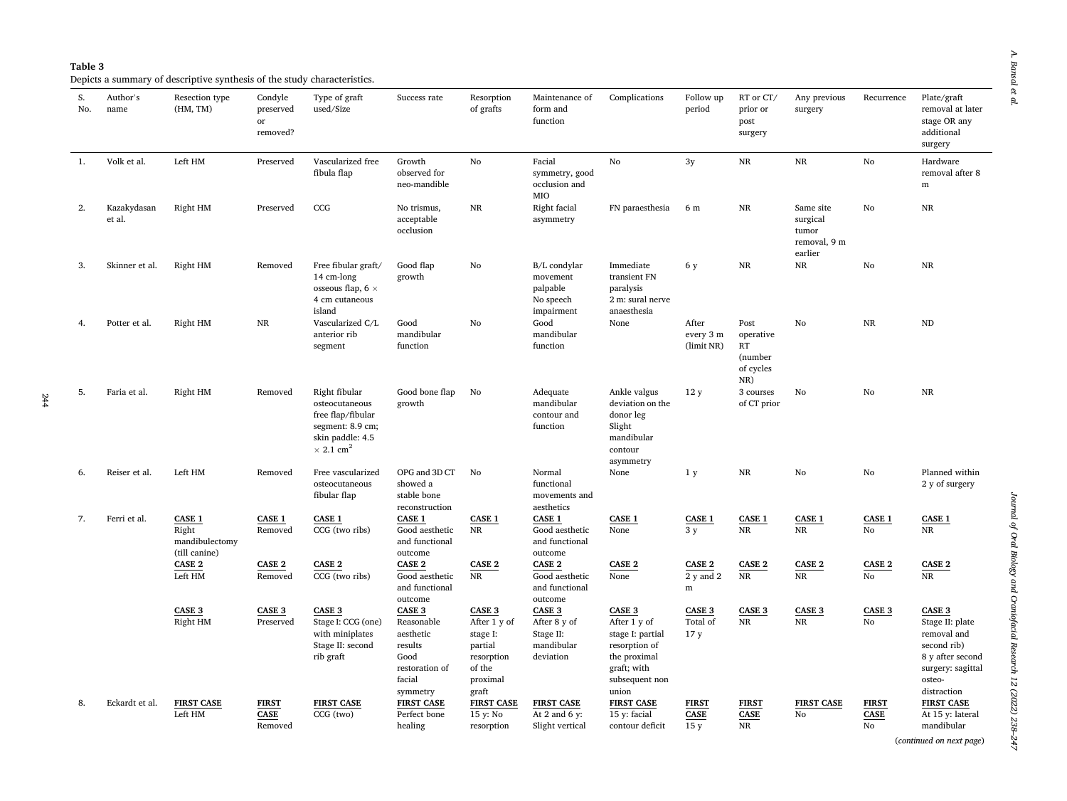$\boldsymbol{A}.$  Bansal et al. *A. Bansal et al.* 

<span id="page-6-0"></span>Depicts a summary of descriptive synthesis of the study characteristics.

| S.<br>No. | Author's<br>name      | Resection type<br>(HM, TM)                                | Condyle<br>preserved<br>or<br>removed? | Type of graft<br>used/Size                                                                                                   | Success rate                                                                                        | Resorption<br>of grafts                                                                    | Maintenance of<br>form and<br>function                          | Complications                                                                                                                | Follow up<br>period                          | RT or CT/<br>prior or<br>post<br>surgery               | Any previous<br>surgery                                   | Recurrence                        | Plate/graft<br>removal at later<br>stage OR any<br>additional<br>surgery                                                         |
|-----------|-----------------------|-----------------------------------------------------------|----------------------------------------|------------------------------------------------------------------------------------------------------------------------------|-----------------------------------------------------------------------------------------------------|--------------------------------------------------------------------------------------------|-----------------------------------------------------------------|------------------------------------------------------------------------------------------------------------------------------|----------------------------------------------|--------------------------------------------------------|-----------------------------------------------------------|-----------------------------------|----------------------------------------------------------------------------------------------------------------------------------|
| 1.        | Volk et al.           | Left HM                                                   | Preserved                              | Vascularized free<br>fibula flap                                                                                             | Growth<br>observed for<br>neo-mandible                                                              | No                                                                                         | Facial<br>symmetry, good<br>occlusion and<br>MIO                | No                                                                                                                           | 3y                                           | NR                                                     | $_{\rm NR}$                                               | No                                | Hardware<br>removal after 8<br>${\bf m}$                                                                                         |
| 2.        | Kazakydasan<br>et al. | Right HM                                                  | Preserved                              | CCG                                                                                                                          | No trismus,<br>acceptable<br>occlusion                                                              | $_{\rm NR}$                                                                                | Right facial<br>asymmetry                                       | FN paraesthesia                                                                                                              | 6 m                                          | $_{\rm NR}$                                            | Same site<br>surgical<br>tumor<br>removal, 9 m<br>earlier | No                                | $\rm NR$                                                                                                                         |
| 3.        | Skinner et al.        | Right HM                                                  | Removed                                | Free fibular graft/<br>14 cm-long<br>osseous flap, $6 \times$<br>4 cm cutaneous<br>island                                    | Good flap<br>growth                                                                                 | No                                                                                         | B/L condylar<br>movement<br>palpable<br>No speech<br>impairment | Immediate<br>transient FN<br>paralysis<br>2 m: sural nerve<br>anaesthesia                                                    | 6 y                                          | $_{\rm NR}$                                            | $_{\rm NR}$                                               | No                                | $\rm NR$                                                                                                                         |
| 4.        | Potter et al.         | Right HM                                                  | NR                                     | Vascularized C/L<br>anterior rib<br>segment                                                                                  | Good<br>mandibular<br>function                                                                      | No                                                                                         | Good<br>mandibular<br>function                                  | None                                                                                                                         | After<br>every 3 m<br>(limit NR)             | Post<br>operative<br>RT<br>(number<br>of cycles<br>NR) | No                                                        | NR                                | $\rm ND$                                                                                                                         |
| 5.        | Faria et al.          | Right HM                                                  | Removed                                | Right fibular<br>osteocutaneous<br>free flap/fibular<br>segment: 8.9 cm;<br>skin paddle: 4.5<br>$\times$ 2.1 cm <sup>2</sup> | Good bone flap<br>growth                                                                            | No                                                                                         | Adequate<br>mandibular<br>contour and<br>function               | Ankle valgus<br>deviation on the<br>donor leg<br>Slight<br>mandibular<br>contour<br>asymmetry                                | 12y                                          | 3 courses<br>of CT prior                               | No                                                        | No                                | <b>NR</b>                                                                                                                        |
| 6.        | Reiser et al.         | Left HM                                                   | Removed                                | Free vascularized<br>osteocutaneous<br>fibular flap                                                                          | OPG and 3D CT<br>showed a<br>stable bone<br>reconstruction                                          | No                                                                                         | Normal<br>functional<br>movements and<br>aesthetics             | None                                                                                                                         | 1 <sub>y</sub>                               | $\rm NR$                                               | No                                                        | No                                | Planned within<br>2 y of surgery                                                                                                 |
| 7.        | Ferri et al.          | <b>CASE 1</b><br>Right<br>mandibulectomy<br>(till canine) | CASE 1<br>Removed                      | <b>CASE 1</b><br>CCG (two ribs)                                                                                              | <b>CASE 1</b><br>Good aesthetic<br>and functional<br>outcome                                        | <b>CASE 1</b><br>NR                                                                        | <b>CASE 1</b><br>Good aesthetic<br>and functional<br>outcome    | <b>CASE 1</b><br>None                                                                                                        | CASE 1<br>3y                                 | CASE 1<br>$_{\rm NR}$                                  | <b>CASE 1</b><br>NR                                       | CASE 1<br>No                      | <b>CASE 1</b><br>NR                                                                                                              |
|           |                       | CASE 2<br>Left HM                                         | CASE 2<br>Removed                      | CASE 2<br>CCG (two ribs)                                                                                                     | CASE <sub>2</sub><br>Good aesthetic<br>and functional<br>outcome                                    | CASE 2<br>NR                                                                               | CASE 2<br>Good aesthetic<br>and functional<br>outcome           | CASE 2<br>None                                                                                                               | CASE 2<br>$2v$ and $2$<br>m                  | CASE 2<br>NR                                           | CASE 2<br><b>NR</b>                                       | CASE 2<br>No                      | CASE 2<br>NR                                                                                                                     |
|           |                       | CASE <sub>3</sub><br>Right HM                             | CASE 3<br>Preserved                    | CASE 3<br>Stage I: CCG (one)<br>with miniplates<br>Stage II: second<br>rib graft                                             | <b>CASE 3</b><br>Reasonable<br>aesthetic<br>results<br>Good<br>restoration of<br>facial<br>symmetry | CASE 3<br>After 1 y of<br>stage I:<br>partial<br>resorption<br>of the<br>proximal<br>graft | CASE 3<br>After 8 y of<br>Stage II:<br>mandibular<br>deviation  | <b>CASE 3</b><br>After 1 y of<br>stage I: partial<br>resorption of<br>the proximal<br>graft; with<br>subsequent non<br>union | <b>CASE 3</b><br>Total of<br>17 <sub>y</sub> | CASE 3<br>$_{\rm NR}$                                  | CASE 3<br>NR                                              | CASE 3<br>No                      | <b>CASE 3</b><br>Stage II: plate<br>removal and<br>second rib)<br>8 y after second<br>surgery: sagittal<br>osteo-<br>distraction |
| 8.        | Eckardt et al.        | <b>FIRST CASE</b><br>Left HM                              | <b>FIRST</b><br><b>CASE</b><br>Removed | <b>FIRST CASE</b><br>CCG (two)                                                                                               | <b>FIRST CASE</b><br>Perfect bone<br>healing                                                        | <b>FIRST CASE</b><br>15 y: No<br>resorption                                                | <b>FIRST CASE</b><br>At 2 and 6 $v$ :<br>Slight vertical        | <b>FIRST CASE</b><br>15 y: facial<br>contour deficit                                                                         | <b>FIRST</b><br><b>CASE</b><br>15y           | <b>FIRST</b><br><b>CASE</b><br><b>NR</b>               | <b>FIRST CASE</b><br>No                                   | <b>FIRST</b><br><b>CASE</b><br>No | <b>FIRST CASE</b><br>At 15 y: lateral<br>mandibular                                                                              |

(*continued on next page*)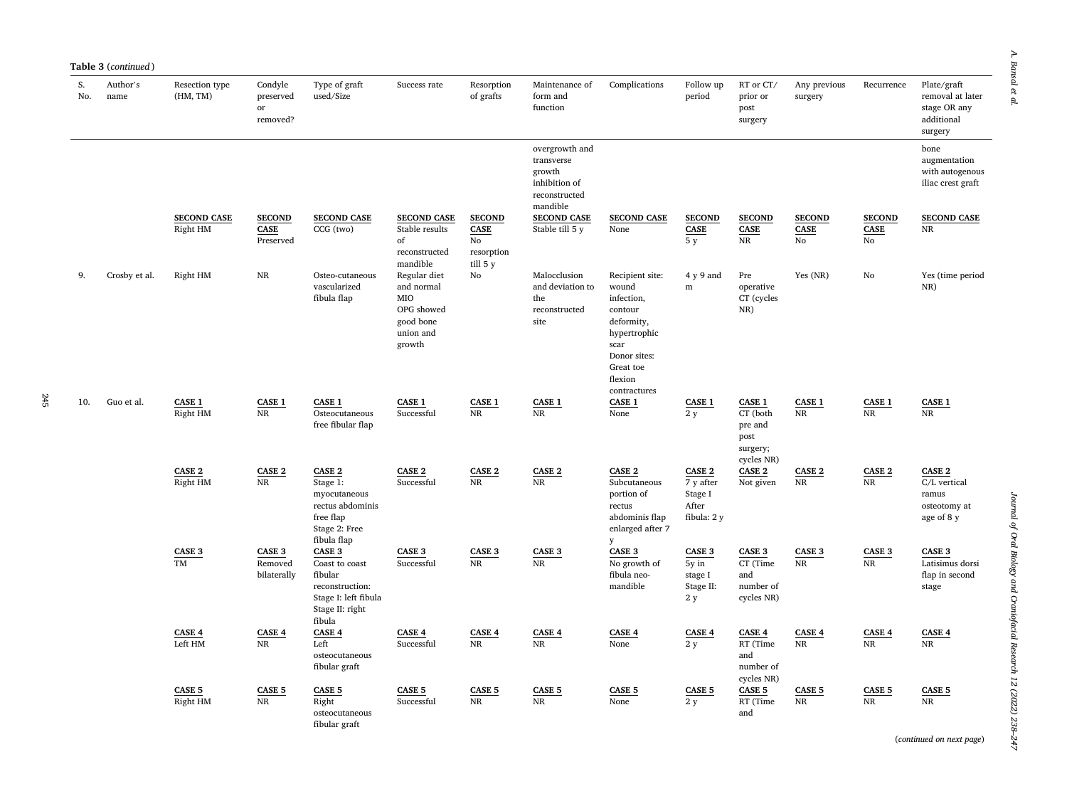| Condyle<br>preserved<br>or<br>removed? | Type of graft<br>used/Size        | Success rate                         | Resorption<br>of grafts      | Maintenance of<br>form and<br>function                                               | Complications      | Follow up<br>period          | RT or CT/<br>prior or<br>post<br>surgery | Any previous<br>surgery      | Recurrence                   | Plate/graft<br>removal at later<br>stage OR any<br>additional<br>surgery |
|----------------------------------------|-----------------------------------|--------------------------------------|------------------------------|--------------------------------------------------------------------------------------|--------------------|------------------------------|------------------------------------------|------------------------------|------------------------------|--------------------------------------------------------------------------|
|                                        |                                   |                                      |                              | overgrowth and<br>transverse<br>growth<br>inhibition of<br>reconstructed<br>mandible |                    |                              |                                          |                              |                              | bone<br>augmentation<br>with autogenous<br>iliac crest graft             |
| <b>SECOND</b><br><b>CASE</b>           | <b>SECOND CASE</b><br>$CCG$ (two) | <b>SECOND CASE</b><br>Stable results | <b>SECOND</b><br><b>CASE</b> | <b>SECOND CASE</b><br>Stable till 5 v                                                | <b>SECOND CASE</b> | <b>SECOND</b><br><b>CASE</b> | <b>SECOND</b><br><b>CASE</b>             | <b>SECOND</b><br><b>CASE</b> | <b>SECOND</b><br><b>CASE</b> | <b>SECOND CASE</b>                                                       |
|                                        |                                   |                                      |                              |                                                                                      | None               |                              |                                          |                              |                              | <b>NR</b>                                                                |

|     |               | <b>SECOND CASE</b><br>Right HM | <b>SECOND</b><br>CASE<br>Preserved | <b>SECOND CASE</b><br>CCG (two)                                                                             | <b>SECOND CASE</b><br>Stable results<br>of<br>reconstructed<br>mandible             | <b>SECOND</b><br>CASE<br>$\mathbf{N}\mathbf{o}$<br>resorption<br>$till$ 5 $y$ | growth<br>inhibition of<br>reconstructed<br>mandible<br><b>SECOND CASE</b><br>Stable till 5 y | <b>SECOND CASE</b><br>None                                                                                                                      | <b>SECOND</b><br>$\operatorname{CASE}$<br>5y           | <b>SECOND</b><br>CASE<br>NR                                            | <b>SECOND</b><br>CASE<br>No | <b>SECOND</b><br>CASE<br>No | with autogenous<br>iliac crest graft<br><b>SECOND CASE</b><br>$\rm NR$ |
|-----|---------------|--------------------------------|------------------------------------|-------------------------------------------------------------------------------------------------------------|-------------------------------------------------------------------------------------|-------------------------------------------------------------------------------|-----------------------------------------------------------------------------------------------|-------------------------------------------------------------------------------------------------------------------------------------------------|--------------------------------------------------------|------------------------------------------------------------------------|-----------------------------|-----------------------------|------------------------------------------------------------------------|
| g.  | Crosby et al. | Right HM                       | <b>NR</b>                          | Osteo-cutaneous<br>vascularized<br>fibula flap                                                              | Regular diet<br>and normal<br>MIO<br>OPG showed<br>good bone<br>union and<br>growth | $\mathbf{N}\mathbf{o}$                                                        | Malocclusion<br>and deviation to<br>the<br>reconstructed<br>site                              | Recipient site:<br>wound<br>infection,<br>contour<br>deformity,<br>hypertrophic<br>scar<br>Donor sites:<br>Great toe<br>flexion<br>contractures | 4 y 9 and<br>${\bf m}$                                 | Pre<br>operative<br>CT (cycles<br>$NR$ )                               | Yes (NR)                    | No                          | Yes (time period<br>NR)                                                |
| 10. | Guo et al.    | <b>CASE 1</b><br>Right HM      | CASE 1<br>NR                       | <b>CASE 1</b><br>Osteocutaneous<br>free fibular flap                                                        | <b>CASE 1</b><br>Successful                                                         | <b>CASE 1</b><br>NR                                                           | CASE 1<br>NR                                                                                  | <b>CASE 1</b><br>None                                                                                                                           | CASE 1<br>2y                                           | <b>CASE 1</b><br>CT (both<br>pre and<br>post<br>surgery;<br>cycles NR) | <b>CASE 1</b><br>NR         | CASE 1<br>NR                | CASE 1<br>NR                                                           |
|     |               | CASE 2<br>Right HM             | CASE 2<br><b>NR</b>                | CASE 2<br>Stage 1:<br>myocutaneous<br>rectus abdominis<br>free flap<br>Stage 2: Free<br>fibula flap         | CASE 2<br>Successful                                                                | CASE 2<br>NR                                                                  | CASE 2<br><b>NR</b>                                                                           | CASE 2<br>Subcutaneous<br>portion of<br>rectus<br>abdominis flap<br>enlarged after 7<br>y                                                       | CASE 2<br>7 y after<br>Stage I<br>After<br>fibula: 2 y | CASE 2<br>Not given                                                    | CASE 2<br>NR                | CASE 2<br>NR                | CASE 2<br>C/L vertical<br>ramus<br>osteotomy at<br>age of 8 y          |
|     |               | CASE 3<br><b>TM</b>            | CASE 3<br>Removed<br>bilaterally   | CASE 3<br>Coast to coast<br>fibular<br>reconstruction:<br>Stage I: left fibula<br>Stage II: right<br>fibula | CASE <sub>3</sub><br>Successful                                                     | CASE 3<br>$_{\rm NR}$                                                         | CASE 3<br>NR                                                                                  | CASE 3<br>No growth of<br>fibula neo-<br>mandible                                                                                               | CASE 3<br>5y in<br>stage I<br>Stage II:<br>2 y         | CASE 3<br>CT (Time<br>and<br>number of<br>cycles NR)                   | CASE 3<br>NR                | CASE 3<br>NR                | CASE 3<br>Latisimus dorsi<br>flap in second<br>stage                   |
|     |               | CASE 4<br>Left HM              | CASE 4<br>NR                       | CASE 4<br>Left<br>osteocutaneous<br>fibular graft                                                           | CASE 4<br>Successful                                                                | CASE 4<br><b>NR</b>                                                           | CASE 4<br><b>NR</b>                                                                           | <b>CASE 4</b><br>None                                                                                                                           | CASE 4<br>2y                                           | <b>CASE 4</b><br>RT (Time<br>and<br>number of<br>cycles NR)            | CASE 4<br>NR                | CASE 4<br>NR                | CASE 4<br>NR                                                           |
|     |               | CASE <sub>5</sub><br>Right HM  | CASE <sub>5</sub><br>NR            | <b>CASE 5</b><br>Right<br>osteocutaneous                                                                    | CASE <sub>5</sub><br>Successful                                                     | CASE <sub>5</sub><br>NR                                                       | <b>CASE 5</b><br>$_{\rm NR}$                                                                  | <b>CASE 5</b><br>None                                                                                                                           | CASE <sub>5</sub><br>2y                                | CASE <sub>5</sub><br>RT (Time<br>and                                   | CASE <sub>5</sub><br>NR     | <b>CASE 5</b><br>NR         | CASE <sub>5</sub><br>$\rm NR$                                          |

(*continued on next page*)

**Table 3** (*continued* )

Resection type (HM, TM)

S. No. name Author's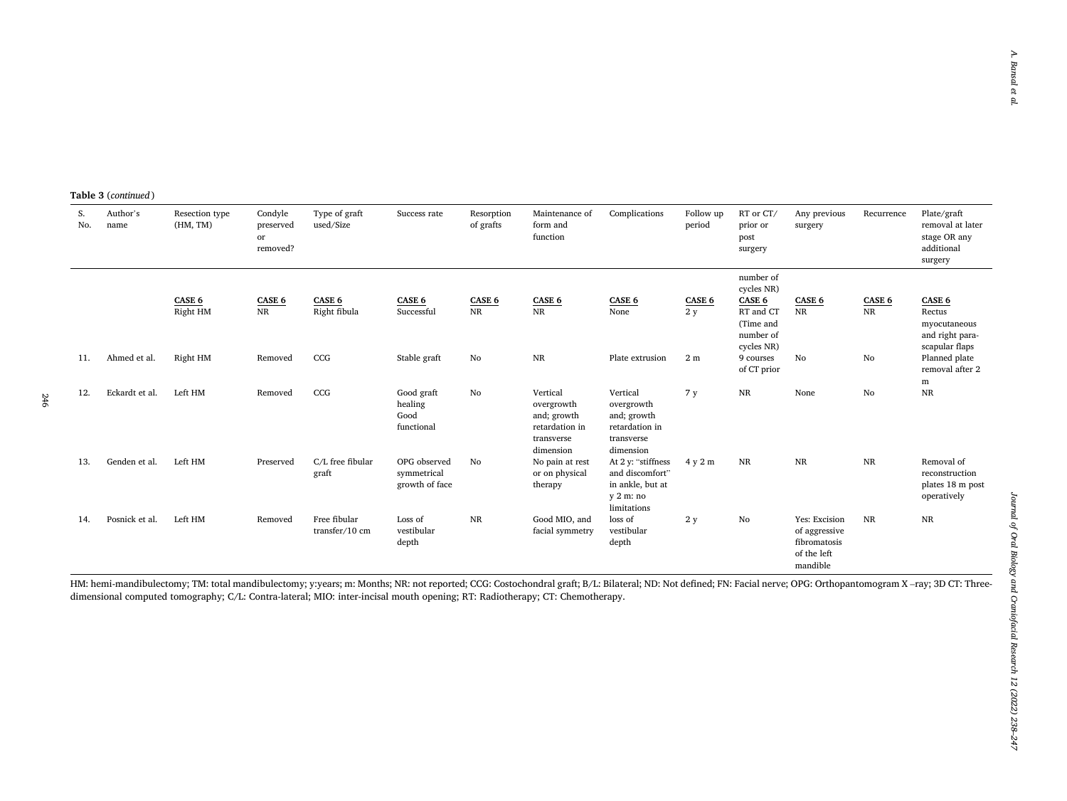**Table 3** (*continued* )

| S.<br>No. | Author's<br>name | Resection type<br>(HM, TM) | Condyle<br>preserved<br>or<br>removed? | Type of graft<br>used/Size     | Success rate                                  | Resorption<br>of grafts | Maintenance of<br>form and<br>function                                             | Complications                                                                          | Follow up<br>period | RT or CT/<br>prior or<br>post<br>surgery                                               | Any previous<br>surgery                                                   | Recurrence          | Plate/graft<br>removal at later<br>stage OR any<br>additional<br>surgery |
|-----------|------------------|----------------------------|----------------------------------------|--------------------------------|-----------------------------------------------|-------------------------|------------------------------------------------------------------------------------|----------------------------------------------------------------------------------------|---------------------|----------------------------------------------------------------------------------------|---------------------------------------------------------------------------|---------------------|--------------------------------------------------------------------------|
|           |                  | CASE 6<br>Right HM         | CASE 6<br>$\rm NR$                     | CASE 6<br>Right fibula         | CASE 6<br>Successful                          | CASE 6<br>NR            | CASE 6<br>$\rm NR$                                                                 | CASE 6<br>None                                                                         | CASE 6<br>2y        | number of<br>cycles NR)<br>CASE 6<br>RT and CT<br>(Time and<br>number of<br>cycles NR) | CASE 6<br>$\overline{\text{NR}}$                                          | CASE 6<br><b>NR</b> | CASE 6<br>Rectus<br>myocutaneous<br>and right para-<br>scapular flaps    |
| 11.       | Ahmed et al.     | Right HM                   | Removed                                | CCG                            | Stable graft                                  | No                      | $_{\rm NR}$                                                                        | Plate extrusion                                                                        | 2 <sub>m</sub>      | 9 courses<br>of CT prior                                                               | No                                                                        | No                  | Planned plate<br>removal after 2<br>m                                    |
| 12.       | Eckardt et al.   | Left HM                    | Removed                                | CCG                            | Good graft<br>healing<br>Good<br>functional   | No                      | Vertical<br>overgrowth<br>and; growth<br>retardation in<br>transverse<br>dimension | Vertical<br>overgrowth<br>and; growth<br>retardation in<br>transverse<br>dimension     | 7 y                 | NR                                                                                     | None                                                                      | No                  | $\rm NR$                                                                 |
| 13.       | Genden et al.    | Left HM                    | Preserved                              | C/L free fibular<br>graft      | OPG observed<br>symmetrical<br>growth of face | No                      | No pain at rest<br>or on physical<br>therapy                                       | At 2 y: "stiffness<br>and discomfort"<br>in ankle, but at<br>$v2$ m: no<br>limitations | 4 y 2 m             | NR                                                                                     | NR                                                                        | $_{\rm NR}$         | Removal of<br>reconstruction<br>plates 18 m post<br>operatively          |
| 14.       | Posnick et al.   | Left HM                    | Removed                                | Free fibular<br>transfer/10 cm | Loss of<br>vestibular<br>depth                | <b>NR</b>               | Good MIO, and<br>facial symmetry                                                   | loss of<br>vestibular<br>depth                                                         | 2 y                 | No                                                                                     | Yes: Excision<br>of aggressive<br>fibromatosis<br>of the left<br>mandible | <b>NR</b>           | NR                                                                       |

HM: hemi-mandibulectomy; TM: total mandibulectomy; y:years; m: Months; NR: not reported; CCG: Costochondral graft; B/L: Bilateral; ND: Not defined; FN: Facial nerve; OPG: Orthopantomogram X –ray; 3D CT: Threedimensional computed tomography; C/L: Contra-lateral; MIO: inter-incisal mouth opening; RT: Radiotherapy; CT: Chemotherapy.